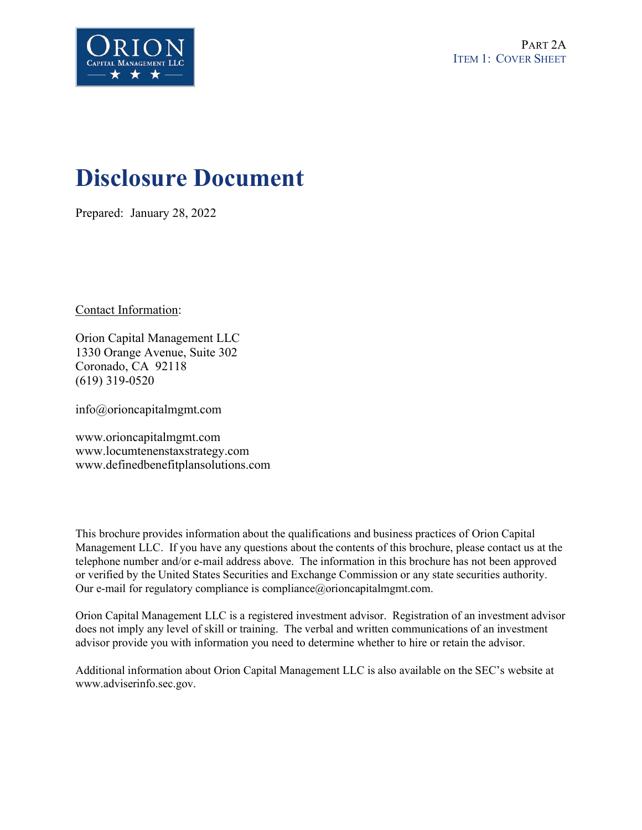

# **Disclosure Document**

Prepared: January 28, 2022

Contact Information:

Orion Capital Management LLC 1330 Orange Avenue, Suite 302 Coronado, CA 92118 (619) 319-0520

info@orioncapitalmgmt.com

www.orioncapitalmgmt.com www.locumtenenstaxstrategy.com www.definedbenefitplansolutions.com

This brochure provides information about the qualifications and business practices of Orion Capital Management LLC. If you have any questions about the contents of this brochure, please contact us at the telephone number and/or e-mail address above. The information in this brochure has not been approved or verified by the United States Securities and Exchange Commission or any state securities authority. Our e-mail for regulatory compliance is compliance@orioncapitalmgmt.com.

Orion Capital Management LLC is a registered investment advisor. Registration of an investment advisor does not imply any level of skill or training. The verbal and written communications of an investment advisor provide you with information you need to determine whether to hire or retain the advisor.

Additional information about Orion Capital Management LLC is also available on the SEC's website at www.adviserinfo.sec.gov.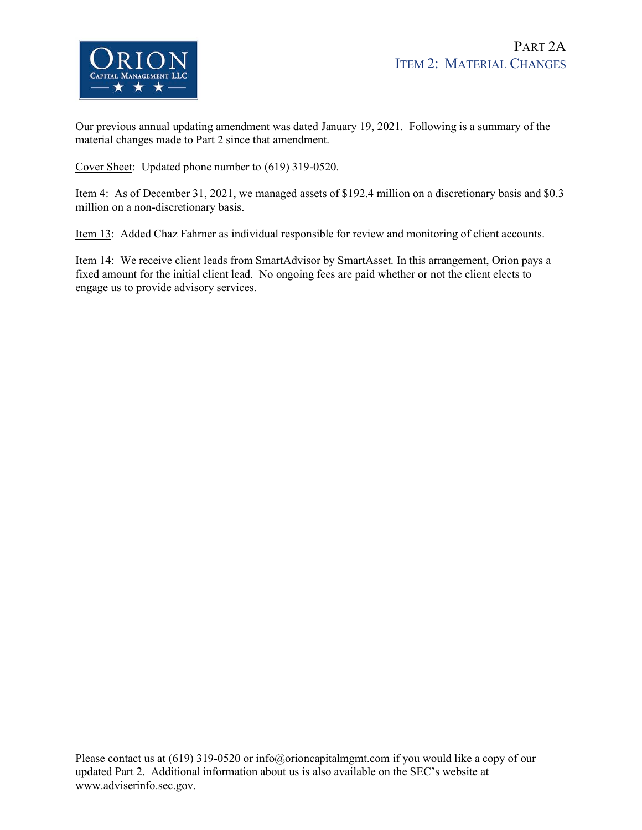

Our previous annual updating amendment was dated January 19, 2021. Following is a summary of the material changes made to Part 2 since that amendment.

Cover Sheet: Updated phone number to (619) 319-0520.

Item 4: As of December 31, 2021, we managed assets of \$192.4 million on a discretionary basis and \$0.3 million on a non-discretionary basis.

Item 13: Added Chaz Fahrner as individual responsible for review and monitoring of client accounts.

Item 14: We receive client leads from SmartAdvisor by SmartAsset. In this arrangement, Orion pays a fixed amount for the initial client lead. No ongoing fees are paid whether or not the client elects to engage us to provide advisory services.

Please contact us at (619) 319-0520 or info@orioncapitalmgmt.com if you would like a copy of our updated Part 2. Additional information about us is also available on the SEC's website at www.adviserinfo.sec.gov.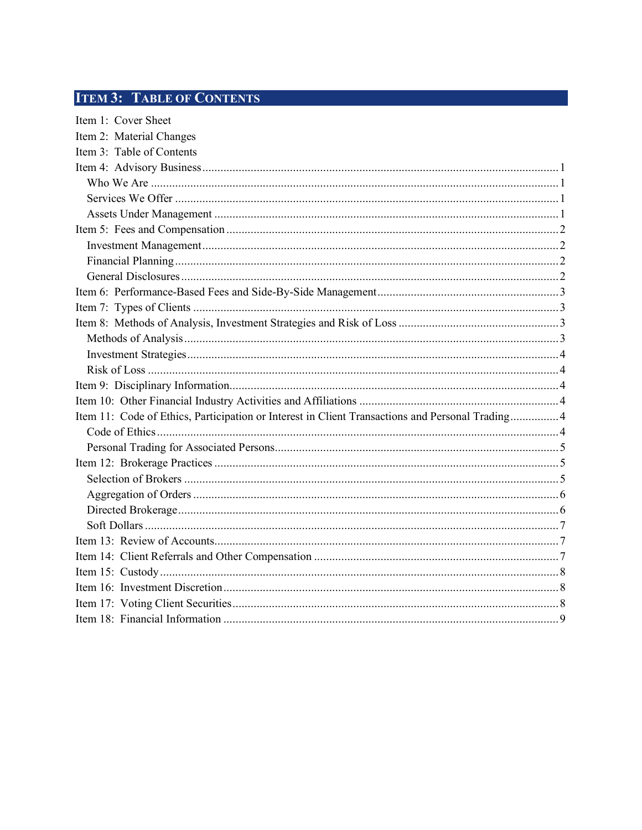## **ITEM 3: TABLE OF CONTENTS**

| Item 2: Material Changes                                                                         |
|--------------------------------------------------------------------------------------------------|
| Item 3: Table of Contents                                                                        |
|                                                                                                  |
|                                                                                                  |
|                                                                                                  |
|                                                                                                  |
|                                                                                                  |
|                                                                                                  |
|                                                                                                  |
|                                                                                                  |
|                                                                                                  |
|                                                                                                  |
|                                                                                                  |
|                                                                                                  |
|                                                                                                  |
|                                                                                                  |
|                                                                                                  |
|                                                                                                  |
| Item 11: Code of Ethics, Participation or Interest in Client Transactions and Personal Trading 4 |
|                                                                                                  |
|                                                                                                  |
|                                                                                                  |
|                                                                                                  |
|                                                                                                  |
|                                                                                                  |
|                                                                                                  |
|                                                                                                  |
|                                                                                                  |
|                                                                                                  |
|                                                                                                  |
|                                                                                                  |
|                                                                                                  |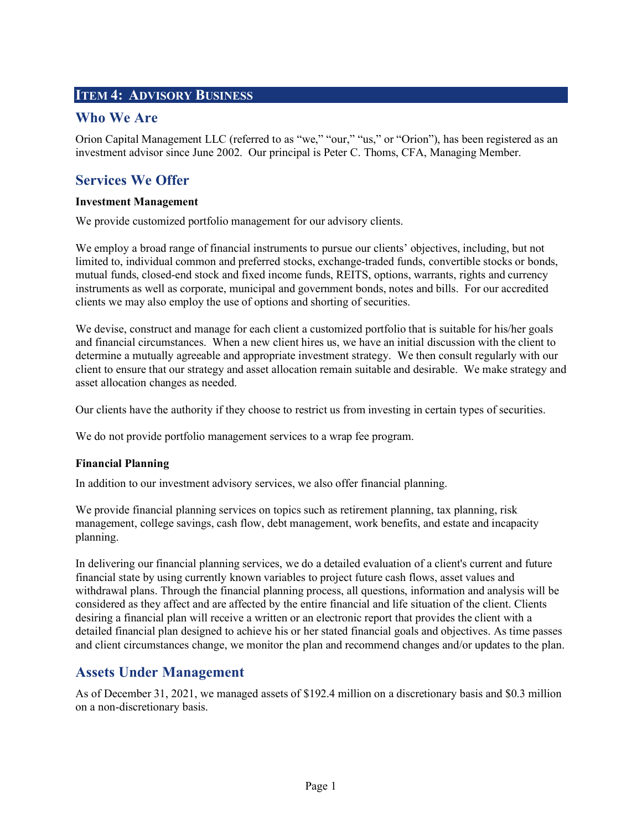## **ITEM 4: ADVISORY BUSINESS**

## **Who We Are**

Orion Capital Management LLC (referred to as "we," "our," "us," or "Orion"), has been registered as an investment advisor since June 2002. Our principal is Peter C. Thoms, CFA, Managing Member.

## **Services We Offer**

#### **Investment Management**

We provide customized portfolio management for our advisory clients.

We employ a broad range of financial instruments to pursue our clients' objectives, including, but not limited to, individual common and preferred stocks, exchange-traded funds, convertible stocks or bonds, mutual funds, closed-end stock and fixed income funds, REITS, options, warrants, rights and currency instruments as well as corporate, municipal and government bonds, notes and bills. For our accredited clients we may also employ the use of options and shorting of securities.

We devise, construct and manage for each client a customized portfolio that is suitable for his/her goals and financial circumstances. When a new client hires us, we have an initial discussion with the client to determine a mutually agreeable and appropriate investment strategy. We then consult regularly with our client to ensure that our strategy and asset allocation remain suitable and desirable. We make strategy and asset allocation changes as needed.

Our clients have the authority if they choose to restrict us from investing in certain types of securities.

We do not provide portfolio management services to a wrap fee program.

#### **Financial Planning**

In addition to our investment advisory services, we also offer financial planning.

We provide financial planning services on topics such as retirement planning, tax planning, risk management, college savings, cash flow, debt management, work benefits, and estate and incapacity planning.

In delivering our financial planning services, we do a detailed evaluation of a client's current and future financial state by using currently known variables to project future cash flows, asset values and withdrawal plans. Through the financial planning process, all questions, information and analysis will be considered as they affect and are affected by the entire financial and life situation of the client. Clients desiring a financial plan will receive a written or an electronic report that provides the client with a detailed financial plan designed to achieve his or her stated financial goals and objectives. As time passes and client circumstances change, we monitor the plan and recommend changes and/or updates to the plan.

## **Assets Under Management**

As of December 31, 2021, we managed assets of \$192.4 million on a discretionary basis and \$0.3 million on a non-discretionary basis.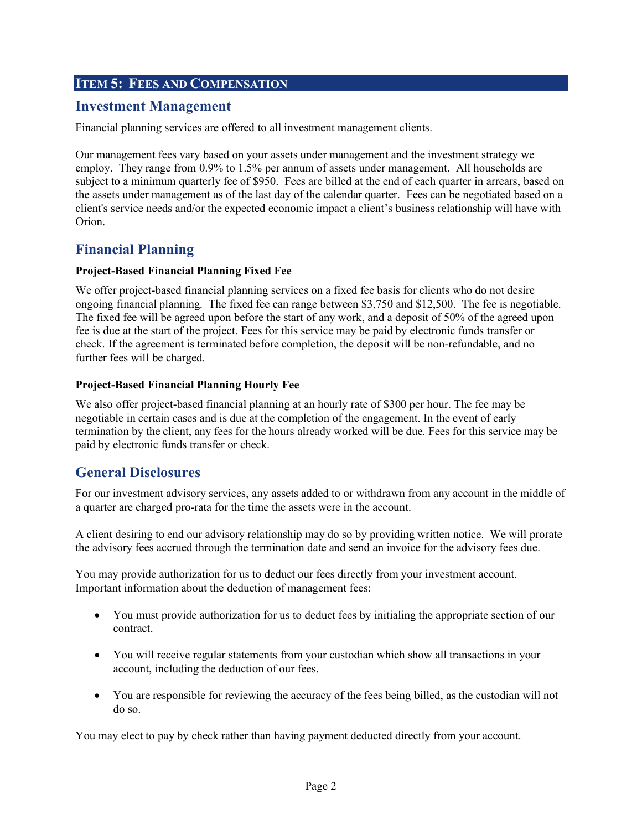## **ITEM 5: FEES AND COMPENSATION**

## **Investment Management**

Financial planning services are offered to all investment management clients.

Our management fees vary based on your assets under management and the investment strategy we employ. They range from 0.9% to 1.5% per annum of assets under management. All households are subject to a minimum quarterly fee of \$950. Fees are billed at the end of each quarter in arrears, based on the assets under management as of the last day of the calendar quarter. Fees can be negotiated based on a client's service needs and/or the expected economic impact a client's business relationship will have with Orion.

## **Financial Planning**

#### **Project-Based Financial Planning Fixed Fee**

We offer project-based financial planning services on a fixed fee basis for clients who do not desire ongoing financial planning. The fixed fee can range between \$3,750 and \$12,500. The fee is negotiable. The fixed fee will be agreed upon before the start of any work, and a deposit of 50% of the agreed upon fee is due at the start of the project. Fees for this service may be paid by electronic funds transfer or check. If the agreement is terminated before completion, the deposit will be non-refundable, and no further fees will be charged.

#### **Project-Based Financial Planning Hourly Fee**

We also offer project-based financial planning at an hourly rate of \$300 per hour. The fee may be negotiable in certain cases and is due at the completion of the engagement. In the event of early termination by the client, any fees for the hours already worked will be due. Fees for this service may be paid by electronic funds transfer or check.

## **General Disclosures**

For our investment advisory services, any assets added to or withdrawn from any account in the middle of a quarter are charged pro-rata for the time the assets were in the account.

A client desiring to end our advisory relationship may do so by providing written notice. We will prorate the advisory fees accrued through the termination date and send an invoice for the advisory fees due.

You may provide authorization for us to deduct our fees directly from your investment account. Important information about the deduction of management fees:

- You must provide authorization for us to deduct fees by initialing the appropriate section of our contract.
- You will receive regular statements from your custodian which show all transactions in your account, including the deduction of our fees.
- You are responsible for reviewing the accuracy of the fees being billed, as the custodian will not do so.

You may elect to pay by check rather than having payment deducted directly from your account.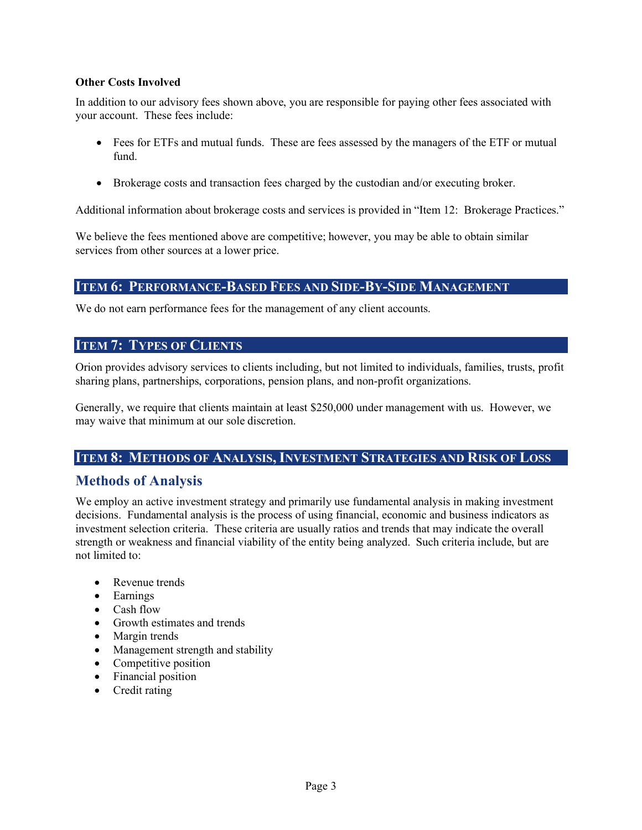#### **Other Costs Involved**

In addition to our advisory fees shown above, you are responsible for paying other fees associated with your account. These fees include:

- Fees for ETFs and mutual funds. These are fees assessed by the managers of the ETF or mutual fund.
- Brokerage costs and transaction fees charged by the custodian and/or executing broker.

Additional information about brokerage costs and services is provided in "Item 12: Brokerage Practices."

We believe the fees mentioned above are competitive; however, you may be able to obtain similar services from other sources at a lower price.

#### **ITEM 6: PERFORMANCE-BASED FEES AND SIDE-BY-SIDE MANAGEMENT**

We do not earn performance fees for the management of any client accounts.

#### **ITEM 7: TYPES OF CLIENTS**

Orion provides advisory services to clients including, but not limited to individuals, families, trusts, profit sharing plans, partnerships, corporations, pension plans, and non-profit organizations.

Generally, we require that clients maintain at least \$250,000 under management with us. However, we may waive that minimum at our sole discretion.

#### **ITEM 8: METHODS OF ANALYSIS, INVESTMENT STRATEGIES AND RISK OF LOSS**

## **Methods of Analysis**

We employ an active investment strategy and primarily use fundamental analysis in making investment decisions. Fundamental analysis is the process of using financial, economic and business indicators as investment selection criteria. These criteria are usually ratios and trends that may indicate the overall strength or weakness and financial viability of the entity being analyzed. Such criteria include, but are not limited to:

- Revenue trends
- Earnings
- $\bullet$  Cash flow
- Growth estimates and trends
- Margin trends
- Management strength and stability
- $\bullet$  Competitive position
- Financial position
- $\bullet$  Credit rating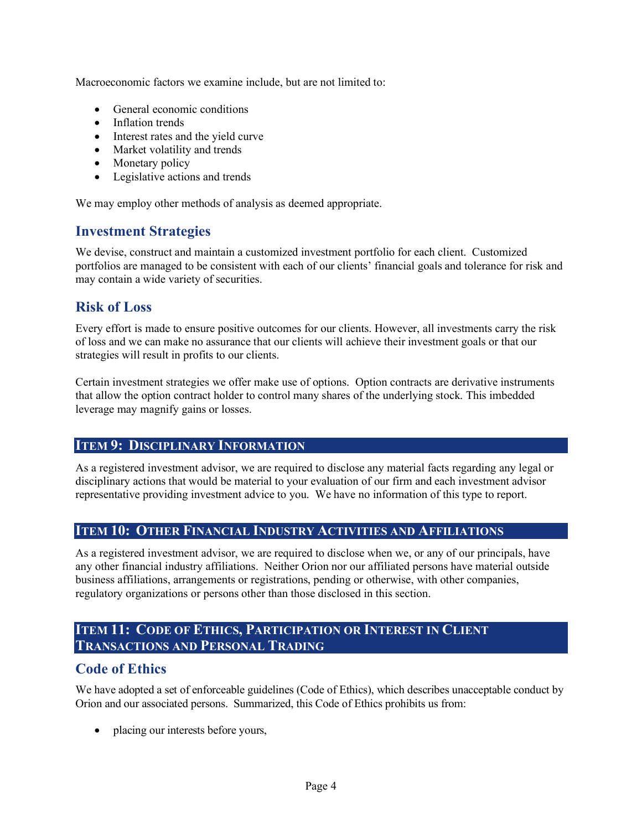Macroeconomic factors we examine include, but are not limited to:

- General economic conditions
- Inflation trends
- Interest rates and the yield curve
- Market volatility and trends
- $\bullet$  Monetary policy
- Legislative actions and trends

We may employ other methods of analysis as deemed appropriate.

## **Investment Strategies**

We devise, construct and maintain a customized investment portfolio for each client. Customized portfolios are managed to be consistent with each of our clients' financial goals and tolerance for risk and may contain a wide variety of securities.

## **Risk of Loss**

Every effort is made to ensure positive outcomes for our clients. However, all investments carry the risk of loss and we can make no assurance that our clients will achieve their investment goals or that our strategies will result in profits to our clients.

Certain investment strategies we offer make use of options. Option contracts are derivative instruments that allow the option contract holder to control many shares of the underlying stock. This imbedded leverage may magnify gains or losses.

#### **ITEM 9: DISCIPLINARY INFORMATION**

As a registered investment advisor, we are required to disclose any material facts regarding any legal or disciplinary actions that would be material to your evaluation of our firm and each investment advisor representative providing investment advice to you. We have no information of this type to report.

#### **ITEM 10: OTHER FINANCIAL INDUSTRY ACTIVITIES AND AFFILIATIONS**

As a registered investment advisor, we are required to disclose when we, or any of our principals, have any other financial industry affiliations. Neither Orion nor our affiliated persons have material outside business affiliations, arrangements or registrations, pending or otherwise, with other companies, regulatory organizations or persons other than those disclosed in this section.

## **ITEM 11: CODE OF ETHICS, PARTICIPATION OR INTEREST IN CLIENT TRANSACTIONS AND PERSONAL TRADING**

#### **Code of Ethics**

We have adopted a set of enforceable guidelines (Code of Ethics), which describes unacceptable conduct by Orion and our associated persons. Summarized, this Code of Ethics prohibits us from:

• placing our interests before yours,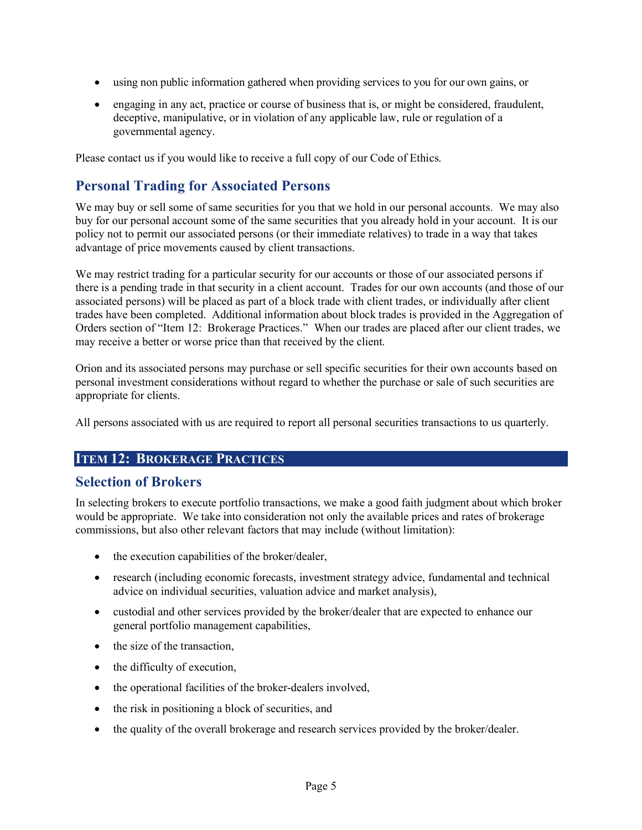- using non public information gathered when providing services to you for our own gains, or
- engaging in any act, practice or course of business that is, or might be considered, fraudulent, deceptive, manipulative, or in violation of any applicable law, rule or regulation of a governmental agency.

Please contact us if you would like to receive a full copy of our Code of Ethics.

## **Personal Trading for Associated Persons**

We may buy or sell some of same securities for you that we hold in our personal accounts. We may also buy for our personal account some of the same securities that you already hold in your account. It is our policy not to permit our associated persons (or their immediate relatives) to trade in a way that takes advantage of price movements caused by client transactions.

We may restrict trading for a particular security for our accounts or those of our associated persons if there is a pending trade in that security in a client account. Trades for our own accounts (and those of our associated persons) will be placed as part of a block trade with client trades, or individually after client trades have been completed. Additional information about block trades is provided in the Aggregation of Orders section of "Item 12: Brokerage Practices." When our trades are placed after our client trades, we may receive a better or worse price than that received by the client.

Orion and its associated persons may purchase or sell specific securities for their own accounts based on personal investment considerations without regard to whether the purchase or sale of such securities are appropriate for clients.

All persons associated with us are required to report all personal securities transactions to us quarterly.

#### **ITEM 12: BROKERAGE PRACTICES**

## **Selection of Brokers**

In selecting brokers to execute portfolio transactions, we make a good faith judgment about which broker would be appropriate. We take into consideration not only the available prices and rates of brokerage commissions, but also other relevant factors that may include (without limitation):

- $\bullet$  the execution capabilities of the broker/dealer,
- research (including economic forecasts, investment strategy advice, fundamental and technical advice on individual securities, valuation advice and market analysis),
- custodial and other services provided by the broker/dealer that are expected to enhance our general portfolio management capabilities,
- $\bullet$  the size of the transaction,
- $\bullet$  the difficulty of execution,
- $\bullet$  the operational facilities of the broker-dealers involved,
- $\bullet$  the risk in positioning a block of securities, and
- the quality of the overall brokerage and research services provided by the broker/dealer.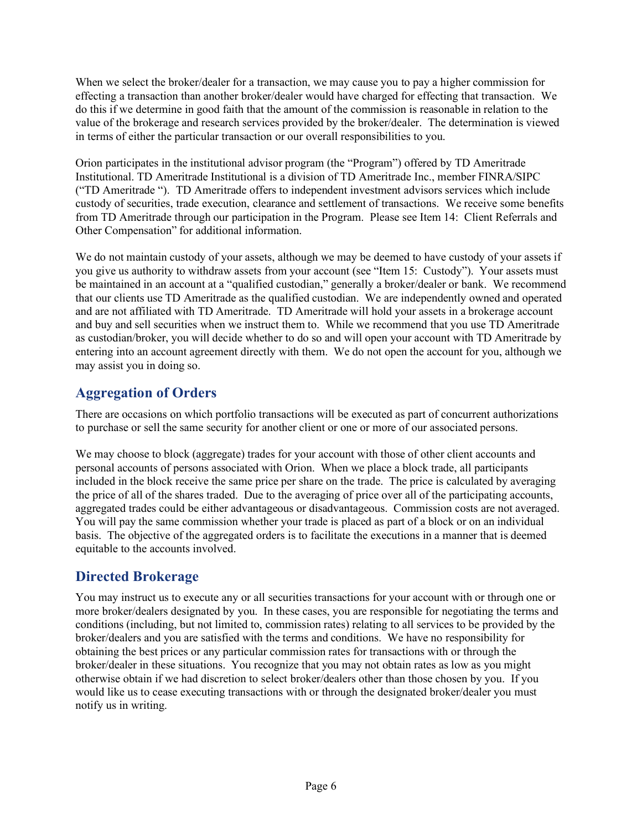When we select the broker/dealer for a transaction, we may cause you to pay a higher commission for effecting a transaction than another broker/dealer would have charged for effecting that transaction. We do this if we determine in good faith that the amount of the commission is reasonable in relation to the value of the brokerage and research services provided by the broker/dealer. The determination is viewed in terms of either the particular transaction or our overall responsibilities to you.

Orion participates in the institutional advisor program (the "Program") offered by TD Ameritrade Institutional. TD Ameritrade Institutional is a division of TD Ameritrade Inc., member FINRA/SIPC ("TD Ameritrade "). TD Ameritrade offers to independent investment advisors services which include custody of securities, trade execution, clearance and settlement of transactions. We receive some benefits from TD Ameritrade through our participation in the Program. Please see Item 14: Client Referrals and Other Compensation" for additional information.

We do not maintain custody of your assets, although we may be deemed to have custody of your assets if you give us authority to withdraw assets from your account (see "Item 15: Custody"). Your assets must be maintained in an account at a "qualified custodian," generally a broker/dealer or bank. We recommend that our clients use TD Ameritrade as the qualified custodian. We are independently owned and operated and are not affiliated with TD Ameritrade. TD Ameritrade will hold your assets in a brokerage account and buy and sell securities when we instruct them to. While we recommend that you use TD Ameritrade as custodian/broker, you will decide whether to do so and will open your account with TD Ameritrade by entering into an account agreement directly with them. We do not open the account for you, although we may assist you in doing so.

## **Aggregation of Orders**

There are occasions on which portfolio transactions will be executed as part of concurrent authorizations to purchase or sell the same security for another client or one or more of our associated persons.

We may choose to block (aggregate) trades for your account with those of other client accounts and personal accounts of persons associated with Orion. When we place a block trade, all participants included in the block receive the same price per share on the trade. The price is calculated by averaging the price of all of the shares traded. Due to the averaging of price over all of the participating accounts, aggregated trades could be either advantageous or disadvantageous. Commission costs are not averaged. You will pay the same commission whether your trade is placed as part of a block or on an individual basis. The objective of the aggregated orders is to facilitate the executions in a manner that is deemed equitable to the accounts involved.

## **Directed Brokerage**

You may instruct us to execute any or all securities transactions for your account with or through one or more broker/dealers designated by you. In these cases, you are responsible for negotiating the terms and conditions (including, but not limited to, commission rates) relating to all services to be provided by the broker/dealers and you are satisfied with the terms and conditions. We have no responsibility for obtaining the best prices or any particular commission rates for transactions with or through the broker/dealer in these situations. You recognize that you may not obtain rates as low as you might otherwise obtain if we had discretion to select broker/dealers other than those chosen by you. If you would like us to cease executing transactions with or through the designated broker/dealer you must notify us in writing.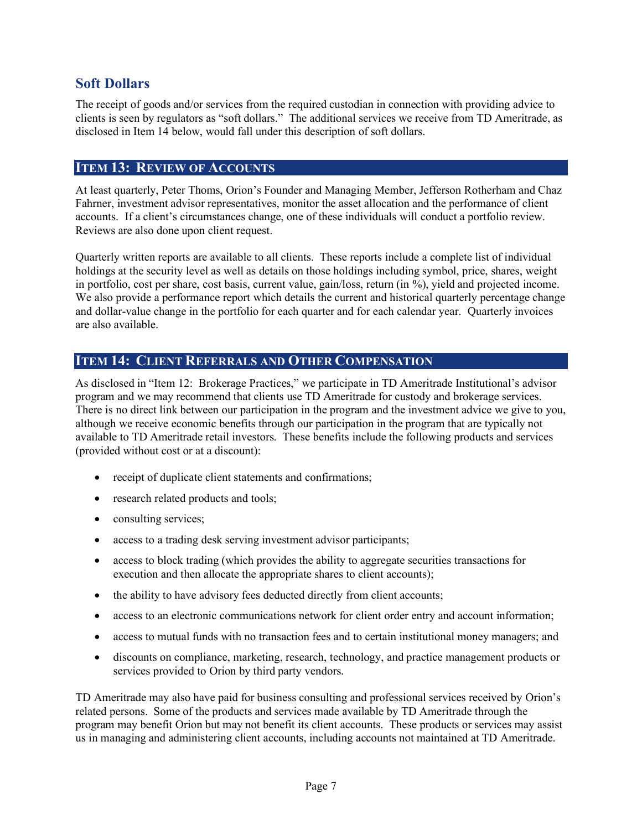## **Soft Dollars**

The receipt of goods and/or services from the required custodian in connection with providing advice to clients is seen by regulators as "soft dollars." The additional services we receive from TD Ameritrade, as disclosed in Item 14 below, would fall under this description of soft dollars.

### **ITEM 13: REVIEW OF ACCOUNTS**

At least quarterly, Peter Thoms, Orion's Founder and Managing Member, Jefferson Rotherham and Chaz Fahrner, investment advisor representatives, monitor the asset allocation and the performance of client accounts. If a client's circumstances change, one of these individuals will conduct a portfolio review. Reviews are also done upon client request.

Quarterly written reports are available to all clients. These reports include a complete list of individual holdings at the security level as well as details on those holdings including symbol, price, shares, weight in portfolio, cost per share, cost basis, current value, gain/loss, return (in %), yield and projected income. We also provide a performance report which details the current and historical quarterly percentage change and dollar-value change in the portfolio for each quarter and for each calendar year. Quarterly invoices are also available.

#### **ITEM 14: CLIENT REFERRALS AND OTHER COMPENSATION**

As disclosed in "Item 12: Brokerage Practices," we participate in TD Ameritrade Institutional's advisor program and we may recommend that clients use TD Ameritrade for custody and brokerage services. There is no direct link between our participation in the program and the investment advice we give to you, although we receive economic benefits through our participation in the program that are typically not available to TD Ameritrade retail investors. These benefits include the following products and services (provided without cost or at a discount):

- receipt of duplicate client statements and confirmations;
- research related products and tools;
- $\bullet$  consulting services;
- access to a trading desk serving investment advisor participants;
- access to block trading (which provides the ability to aggregate securities transactions for execution and then allocate the appropriate shares to client accounts);
- the ability to have advisory fees deducted directly from client accounts;
- access to an electronic communications network for client order entry and account information;
- access to mutual funds with no transaction fees and to certain institutional money managers; and
- discounts on compliance, marketing, research, technology, and practice management products or services provided to Orion by third party vendors.

TD Ameritrade may also have paid for business consulting and professional services received by Orion's related persons. Some of the products and services made available by TD Ameritrade through the program may benefit Orion but may not benefit its client accounts. These products or services may assist us in managing and administering client accounts, including accounts not maintained at TD Ameritrade.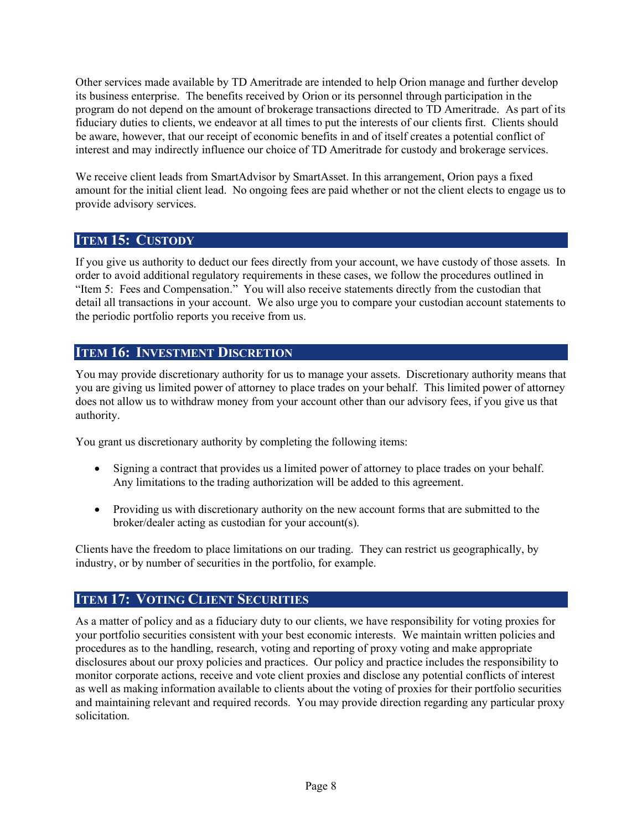Other services made available by TD Ameritrade are intended to help Orion manage and further develop its business enterprise. The benefits received by Orion or its personnel through participation in the program do not depend on the amount of brokerage transactions directed to TD Ameritrade. As part of its fiduciary duties to clients, we endeavor at all times to put the interests of our clients first. Clients should be aware, however, that our receipt of economic benefits in and of itself creates a potential conflict of interest and may indirectly influence our choice of TD Ameritrade for custody and brokerage services.

We receive client leads from SmartAdvisor by SmartAsset. In this arrangement, Orion pays a fixed amount for the initial client lead. No ongoing fees are paid whether or not the client elects to engage us to provide advisory services.

#### **ITEM 15: CUSTODY**

If you give us authority to deduct our fees directly from your account, we have custody of those assets. In order to avoid additional regulatory requirements in these cases, we follow the procedures outlined in "Item 5: Fees and Compensation." You will also receive statements directly from the custodian that detail all transactions in your account. We also urge you to compare your custodian account statements to the periodic portfolio reports you receive from us.

#### **ITEM 16: INVESTMENT DISCRETION**

You may provide discretionary authority for us to manage your assets. Discretionary authority means that you are giving us limited power of attorney to place trades on your behalf. This limited power of attorney does not allow us to withdraw money from your account other than our advisory fees, if you give us that authority.

You grant us discretionary authority by completing the following items:

- Signing a contract that provides us a limited power of attorney to place trades on your behalf. Any limitations to the trading authorization will be added to this agreement.
- Providing us with discretionary authority on the new account forms that are submitted to the broker/dealer acting as custodian for your account(s).

Clients have the freedom to place limitations on our trading. They can restrict us geographically, by industry, or by number of securities in the portfolio, for example.

## **ITEM 17: VOTING CLIENT SECURITIES**

As a matter of policy and as a fiduciary duty to our clients, we have responsibility for voting proxies for your portfolio securities consistent with your best economic interests. We maintain written policies and procedures as to the handling, research, voting and reporting of proxy voting and make appropriate disclosures about our proxy policies and practices. Our policy and practice includes the responsibility to monitor corporate actions, receive and vote client proxies and disclose any potential conflicts of interest as well as making information available to clients about the voting of proxies for their portfolio securities and maintaining relevant and required records. You may provide direction regarding any particular proxy solicitation.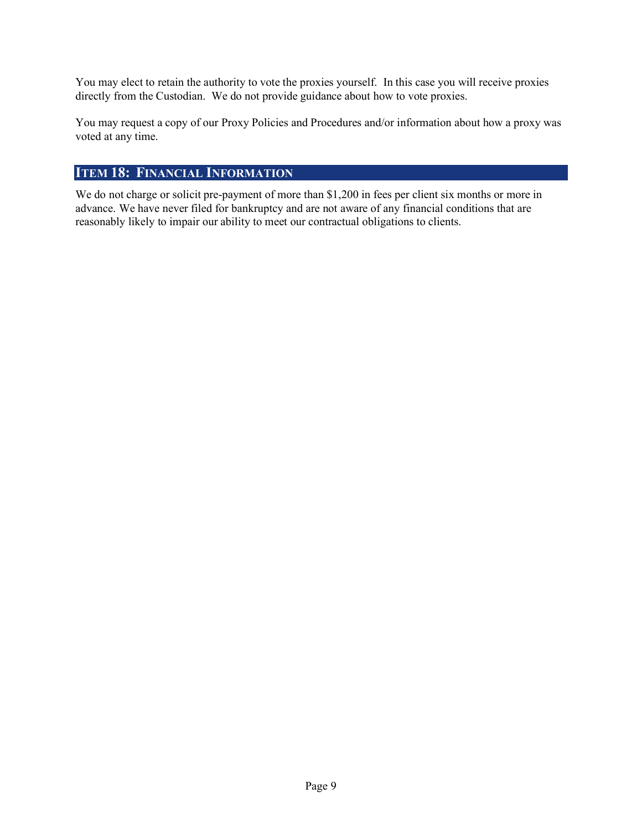You may elect to retain the authority to vote the proxies yourself. In this case you will receive proxies directly from the Custodian. We do not provide guidance about how to vote proxies.

You may request a copy of our Proxy Policies and Procedures and/or information about how a proxy was voted at any time.

## **ITEM 18: FINANCIAL INFORMATION**

We do not charge or solicit pre-payment of more than \$1,200 in fees per client six months or more in advance. We have never filed for bankruptcy and are not aware of any financial conditions that are reasonably likely to impair our ability to meet our contractual obligations to clients.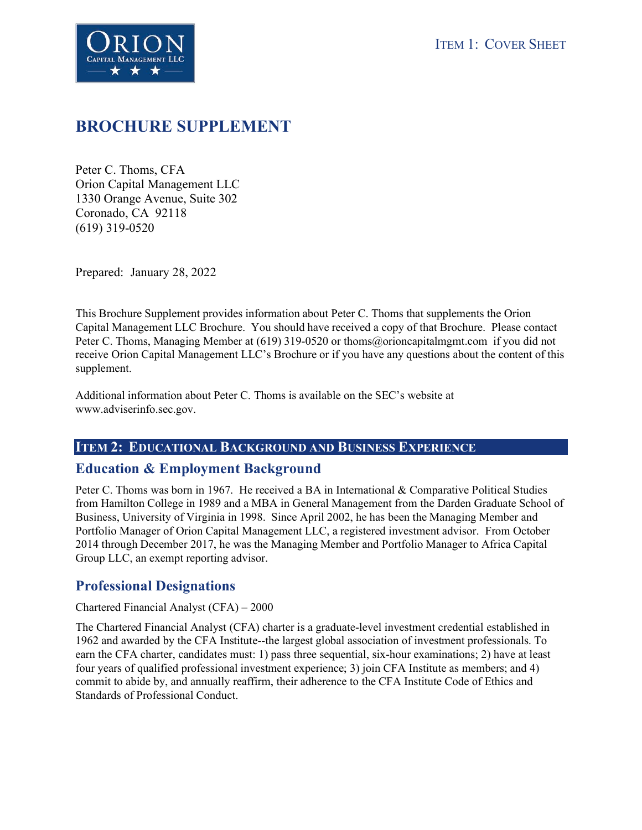



## **BROCHURE SUPPLEMENT**

Peter C. Thoms, CFA Orion Capital Management LLC 1330 Orange Avenue, Suite 302 Coronado, CA 92118 (619) 319-0520

Prepared: January 28, 2022

This Brochure Supplement provides information about Peter C. Thoms that supplements the Orion Capital Management LLC Brochure. You should have received a copy of that Brochure. Please contact Peter C. Thoms, Managing Member at (619) 319-0520 or thoms@orioncapitalmgmt.com if you did not receive Orion Capital Management LLC's Brochure or if you have any questions about the content of this supplement.

Additional information about Peter C. Thoms is available on the SEC's website at www.adviserinfo.sec.gov.

#### **ITEM 2: EDUCATIONAL BACKGROUND AND BUSINESS EXPERIENCE**

#### **Education & Employment Background**

Peter C. Thoms was born in 1967. He received a BA in International & Comparative Political Studies from Hamilton College in 1989 and a MBA in General Management from the Darden Graduate School of Business, University of Virginia in 1998. Since April 2002, he has been the Managing Member and Portfolio Manager of Orion Capital Management LLC, a registered investment advisor. From October 2014 through December 2017, he was the Managing Member and Portfolio Manager to Africa Capital Group LLC, an exempt reporting advisor.

## **Professional Designations**

#### Chartered Financial Analyst (CFA) – 2000

The Chartered Financial Analyst (CFA) charter is a graduate-level investment credential established in 1962 and awarded by the CFA Institute--the largest global association of investment professionals. To earn the CFA charter, candidates must: 1) pass three sequential, six-hour examinations; 2) have at least four years of qualified professional investment experience; 3) join CFA Institute as members; and 4) commit to abide by, and annually reaffirm, their adherence to the CFA Institute Code of Ethics and Standards of Professional Conduct.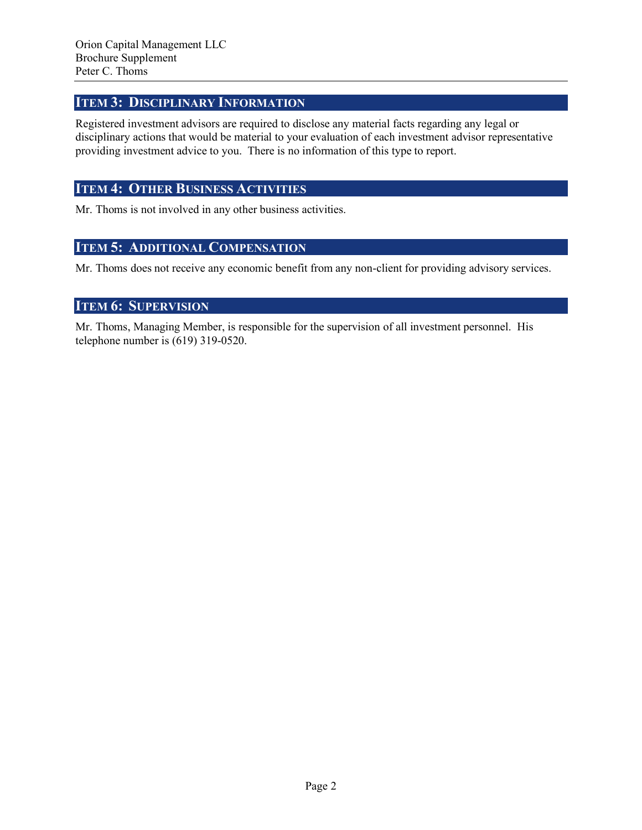## **ITEM 3: DISCIPLINARY INFORMATION**

Registered investment advisors are required to disclose any material facts regarding any legal or disciplinary actions that would be material to your evaluation of each investment advisor representative providing investment advice to you. There is no information of this type to report.

## **ITEM 4: OTHER BUSINESS ACTIVITIES**

Mr. Thoms is not involved in any other business activities.

#### **ITEM 5: ADDITIONAL COMPENSATION**

Mr. Thoms does not receive any economic benefit from any non-client for providing advisory services.

## **ITEM 6: SUPERVISION**

Mr. Thoms, Managing Member, is responsible for the supervision of all investment personnel. His telephone number is (619) 319-0520.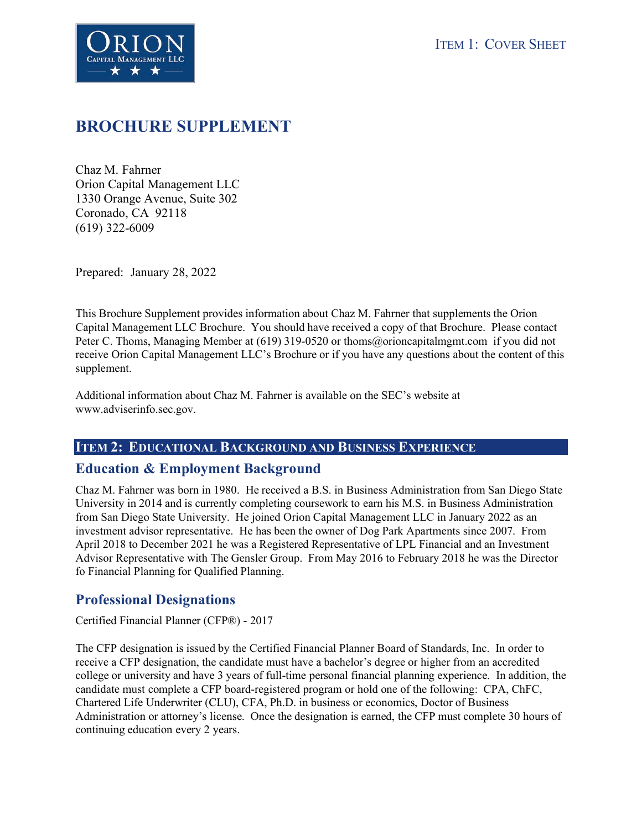



## **BROCHURE SUPPLEMENT**

Chaz M. Fahrner Orion Capital Management LLC 1330 Orange Avenue, Suite 302 Coronado, CA 92118 (619) 322-6009

Prepared: January 28, 2022

This Brochure Supplement provides information about Chaz M. Fahrner that supplements the Orion Capital Management LLC Brochure. You should have received a copy of that Brochure. Please contact Peter C. Thoms, Managing Member at (619) 319-0520 or thoms@orioncapitalmgmt.com if you did not receive Orion Capital Management LLC's Brochure or if you have any questions about the content of this supplement.

Additional information about Chaz M. Fahrner is available on the SEC's website at www.adviserinfo.sec.gov.

#### **ITEM 2: EDUCATIONAL BACKGROUND AND BUSINESS EXPERIENCE**

#### **Education & Employment Background**

Chaz M. Fahrner was born in 1980. He received a B.S. in Business Administration from San Diego State University in 2014 and is currently completing coursework to earn his M.S. in Business Administration from San Diego State University. He joined Orion Capital Management LLC in January 2022 as an investment advisor representative. He has been the owner of Dog Park Apartments since 2007. From April 2018 to December 2021 he was a Registered Representative of LPL Financial and an Investment Advisor Representative with The Gensler Group. From May 2016 to February 2018 he was the Director fo Financial Planning for Qualified Planning.

## **Professional Designations**

Certified Financial Planner (CFP®) - 2017

The CFP designation is issued by the Certified Financial Planner Board of Standards, Inc. In order to receive a CFP designation, the candidate must have a bachelor's degree or higher from an accredited college or university and have 3 years of full-time personal financial planning experience. In addition, the candidate must complete a CFP board-registered program or hold one of the following: CPA, ChFC, Chartered Life Underwriter (CLU), CFA, Ph.D. in business or economics, Doctor of Business Administration or attorney's license. Once the designation is earned, the CFP must complete 30 hours of continuing education every 2 years.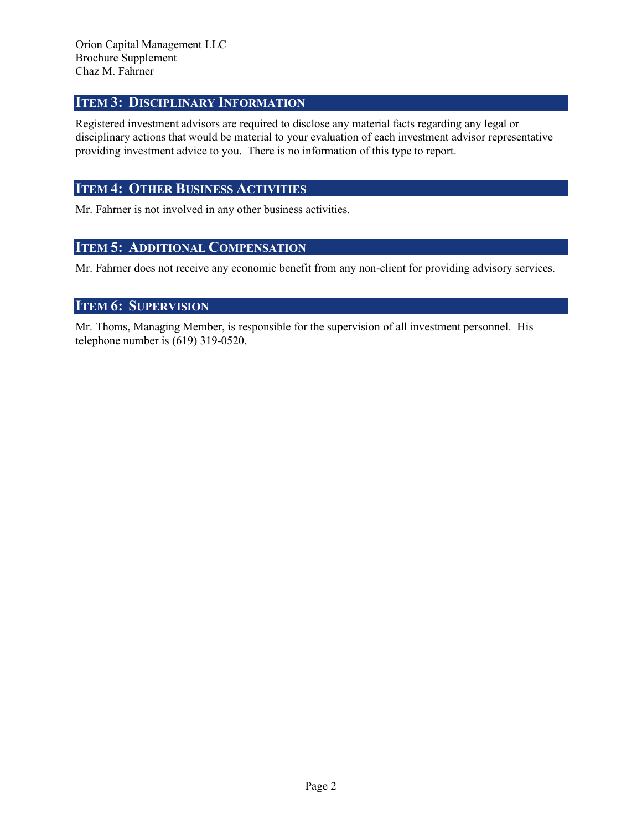## **ITEM 3: DISCIPLINARY INFORMATION**

Registered investment advisors are required to disclose any material facts regarding any legal or disciplinary actions that would be material to your evaluation of each investment advisor representative providing investment advice to you. There is no information of this type to report.

## **ITEM 4: OTHER BUSINESS ACTIVITIES**

Mr. Fahrner is not involved in any other business activities.

#### **ITEM 5: ADDITIONAL COMPENSATION**

Mr. Fahrner does not receive any economic benefit from any non-client for providing advisory services.

## **ITEM 6: SUPERVISION**

Mr. Thoms, Managing Member, is responsible for the supervision of all investment personnel. His telephone number is (619) 319-0520.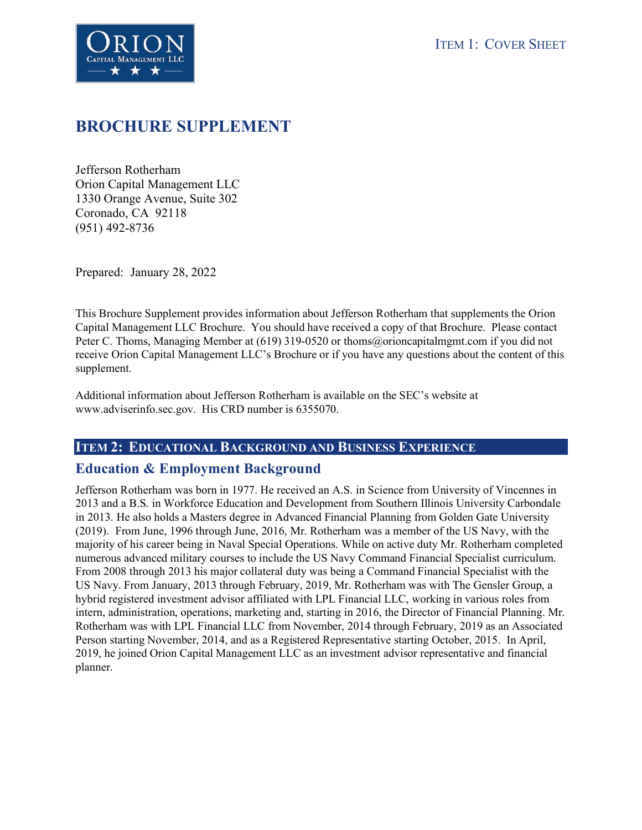



## **BROCHURE SUPPLEMENT**

Jefferson Rotherham Orion Capital Management LLC 1330 Orange Avenue, Suite 302 Coronado, CA 92118 (951) 492-8736

Prepared: January 28, 2022

This Brochure Supplement provides information about Jefferson Rotherham that supplements the Orion Capital Management LLC Brochure. You should have received a copy of that Brochure. Please contact Peter C. Thoms, Managing Member at (619) 319-0520 or thoms@orioncapitalmgmt.com if you did not receive Orion Capital Management LLC's Brochure or if you have any questions about the content of this supplement.

Additional information about Jefferson Rotherham is available on the SEC's website at www.adviserinfo.sec.gov. His CRD number is 6355070.

#### **ITEM 2: EDUCATIONAL BACKGROUND AND BUSINESS EXPERIENCE**

#### **Education & Employment Background**

Jefferson Rotherham was born in 1977. He received an A.S. in Science from University of Vincennes in 2013 and a B.S. in Workforce Education and Development from Southern Illinois University Carbondale in 2013. He also holds a Masters degree in Advanced Financial Planning from Golden Gate University (2019). From June, 1996 through June, 2016, Mr. Rotherham was a member of the US Navy, with the majority of his career being in Naval Special Operations. While on active duty Mr. Rotherham completed numerous advanced military courses to include the US Navy Command Financial Specialist curriculum. From 2008 through 2013 his major collateral duty was being a Command Financial Specialist with the US Navy. From January, 2013 through February, 2019, Mr. Rotherham was with The Gensler Group, a hybrid registered investment advisor affiliated with LPL Financial LLC, working in various roles from intern, administration, operations, marketing and, starting in 2016, the Director of Financial Planning. Mr. Rotherham was with LPL Financial LLC from November, 2014 through February, 2019 as an Associated Person starting November, 2014, and as a Registered Representative starting October, 2015. In April, 2019, he joined Orion Capital Management LLC as an investment advisor representative and financial planner.